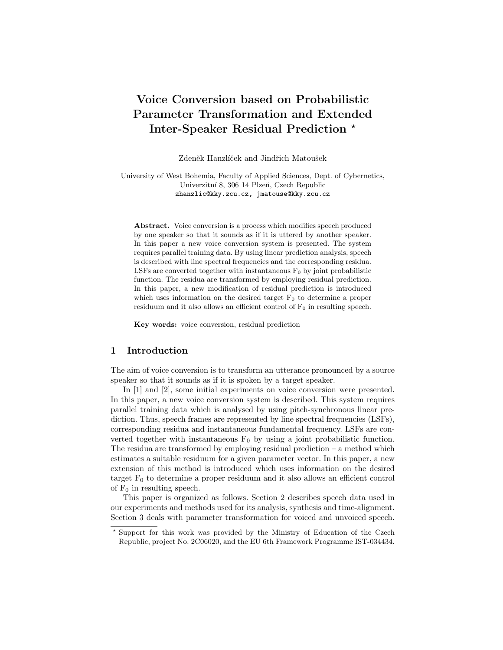# Voice Conversion based on Probabilistic Parameter Transformation and Extended Inter-Speaker Residual Prediction ?

Zdeněk Hanzlíček and Jindřich Matoušek

University of West Bohemia, Faculty of Applied Sciences, Dept. of Cybernetics, Univerzitní 8, 306 14 Plzeň, Czech Republic zhanzlic@kky.zcu.cz, jmatouse@kky.zcu.cz

Abstract. Voice conversion is a process which modifies speech produced by one speaker so that it sounds as if it is uttered by another speaker. In this paper a new voice conversion system is presented. The system requires parallel training data. By using linear prediction analysis, speech is described with line spectral frequencies and the corresponding residua. LSFs are converted together with instantaneous  $F_0$  by joint probabilistic function. The residua are transformed by employing residual prediction. In this paper, a new modification of residual prediction is introduced which uses information on the desired target  $F_0$  to determine a proper residuum and it also allows an efficient control of  $F_0$  in resulting speech.

Key words: voice conversion, residual prediction

# 1 Introduction

The aim of voice conversion is to transform an utterance pronounced by a source speaker so that it sounds as if it is spoken by a target speaker.

In [1] and [2], some initial experiments on voice conversion were presented. In this paper, a new voice conversion system is described. This system requires parallel training data which is analysed by using pitch-synchronous linear prediction. Thus, speech frames are represented by line spectral frequencies (LSFs), corresponding residua and instantaneous fundamental frequency. LSFs are converted together with instantaneous  $F_0$  by using a joint probabilistic function. The residua are transformed by employing residual prediction  $-$  a method which estimates a suitable residuum for a given parameter vector. In this paper, a new extension of this method is introduced which uses information on the desired target  $F_0$  to determine a proper residuum and it also allows an efficient control of  $F_0$  in resulting speech.

This paper is organized as follows. Section 2 describes speech data used in our experiments and methods used for its analysis, synthesis and time-alignment. Section 3 deals with parameter transformation for voiced and unvoiced speech.

<sup>?</sup> Support for this work was provided by the Ministry of Education of the Czech Republic, project No. 2C06020, and the EU 6th Framework Programme IST-034434.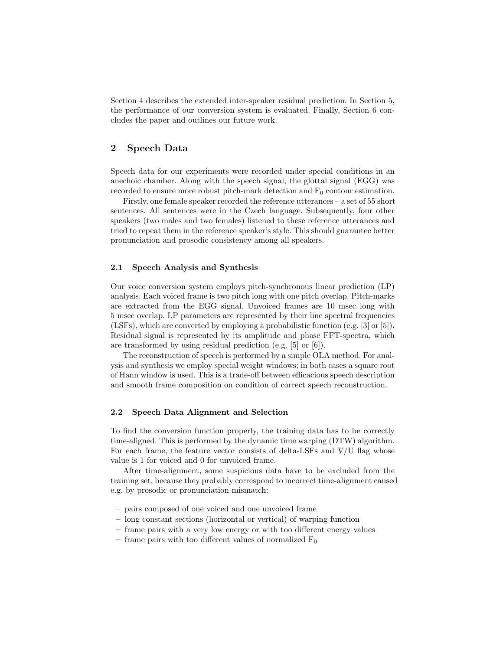Section 4 describes the extended inter-speaker residual prediction. In Section 5, the performance of our conversion system is evaluated. Finally, Section 6 concludes the paper and outlines our future work.

# 2 Speech Data

Speech data for our experiments were recorded under special conditions in an anechoic chamber. Along with the speech signal, the glottal signal (EGG) was recorded to ensure more robust pitch-mark detection and  $F_0$  contour estimation.

Firstly, one female speaker recorded the reference utterances – a set of 55 short sentences. All sentences were in the Czech language. Subsequently, four other speakers (two males and two females) listened to these reference utterances and tried to repeat them in the reference speaker's style. This should guarantee better pronunciation and prosodic consistency among all speakers.

#### 2.1 Speech Analysis and Synthesis

Our voice conversion system employs pitch-synchronous linear prediction (LP) analysis. Each voiced frame is two pitch long with one pitch overlap. Pitch-marks are extracted from the EGG signal. Unvoiced frames are 10 msec long with 5 msec overlap. LP parameters are represented by their line spectral frequencies (LSFs), which are converted by employing a probabilistic function (e.g. [3] or [5]). Residual signal is represented by its amplitude and phase FFT-spectra, which are transformed by using residual prediction (e.g. [5] or [6]).

The reconstruction of speech is performed by a simple OLA method. For analysis and synthesis we employ special weight windows; in both cases a square root of Hann window is used. This is a trade-off between efficacious speech description and smooth frame composition on condition of correct speech reconstruction.

#### 2.2 Speech Data Alignment and Selection

To find the conversion function properly, the training data has to be correctly time-aligned. This is performed by the dynamic time warping (DTW) algorithm. For each frame, the feature vector consists of delta-LSFs and V/U flag whose value is 1 for voiced and 0 for unvoiced frame.

After time-alignment, some suspicious data have to be excluded from the training set, because they probably correspond to incorrect time-alignment caused e.g. by prosodic or pronunciation mismatch:

- pairs composed of one voiced and one unvoiced frame
- long constant sections (horizontal or vertical) of warping function
- frame pairs with a very low energy or with too different energy values
- frame pairs with too different values of normalized  $F_0$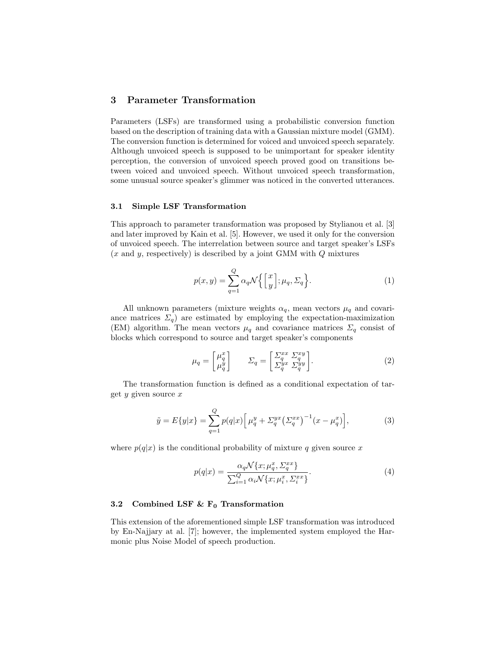# 3 Parameter Transformation

Parameters (LSFs) are transformed using a probabilistic conversion function based on the description of training data with a Gaussian mixture model (GMM). The conversion function is determined for voiced and unvoiced speech separately. Although unvoiced speech is supposed to be unimportant for speaker identity perception, the conversion of unvoiced speech proved good on transitions between voiced and unvoiced speech. Without unvoiced speech transformation, some unusual source speaker's glimmer was noticed in the converted utterances.

## 3.1 Simple LSF Transformation

This approach to parameter transformation was proposed by Stylianou et al. [3] and later improved by Kain et al. [5]. However, we used it only for the conversion of unvoiced speech. The interrelation between source and target speaker's LSFs  $(x \text{ and } y, \text{ respectively})$  is described by a joint GMM with  $Q$  mixtures

$$
p(x,y) = \sum_{q=1}^{Q} \alpha_q \mathcal{N}\left\{ \begin{bmatrix} x \\ y \end{bmatrix}; \mu_q, \Sigma_q \right\}.
$$
 (1)

All unknown parameters (mixture weights  $\alpha_q$ , mean vectors  $\mu_q$  and covariance matrices  $\Sigma_q$  are estimated by employing the expectation-maximization (EM) algorithm. The mean vectors  $\mu_q$  and covariance matrices  $\Sigma_q$  consist of blocks which correspond to source and target speaker's components

$$
\mu_q = \begin{bmatrix} \mu_q^x \\ \mu_q^y \end{bmatrix} \qquad \Sigma_q = \begin{bmatrix} \Sigma_q^{xx} & \Sigma_q^{xy} \\ \Sigma_q^{yx} & \Sigma_q^{yy} \end{bmatrix} . \tag{2}
$$

The transformation function is defined as a conditional expectation of target  $y$  given source  $x$ 

$$
\tilde{y} = E\{y|x\} = \sum_{q=1}^{Q} p(q|x) \left[ \mu_q^y + \Sigma_q^{yx} \left( \Sigma_q^{xx} \right)^{-1} (x - \mu_q^x) \right],\tag{3}
$$

where  $p(q|x)$  is the conditional probability of mixture q given source x

$$
p(q|x) = \frac{\alpha_q \mathcal{N}\{x; \mu_q^x, \Sigma_q^{xx}\}}{\sum_{i=1}^Q \alpha_i \mathcal{N}\{x; \mu_i^x, \Sigma_i^{xx}\}}.
$$
\n
$$
(4)
$$

#### 3.2 Combined LSF  $\&$  F<sub>0</sub> Transformation

This extension of the aforementioned simple LSF transformation was introduced by En-Najjary at al. [7]; however, the implemented system employed the Harmonic plus Noise Model of speech production.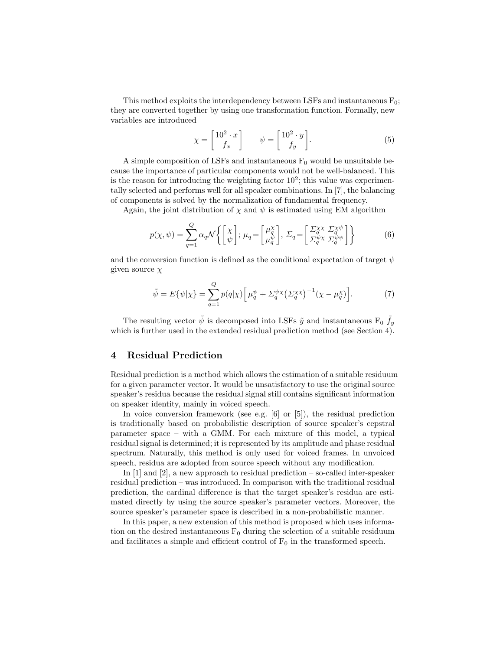This method exploits the interdependency between LSFs and instantaneous  $F_0$ ; they are converted together by using one transformation function. Formally, new variables are introduced

$$
\chi = \begin{bmatrix} 10^2 \cdot x \\ f_x \end{bmatrix} \qquad \psi = \begin{bmatrix} 10^2 \cdot y \\ f_y \end{bmatrix} . \tag{5}
$$

A simple composition of LSFs and instantaneous  $F_0$  would be unsuitable because the importance of particular components would not be well-balanced. This is the reason for introducing the weighting factor  $10^2$ ; this value was experimentally selected and performs well for all speaker combinations. In [7], the balancing of components is solved by the normalization of fundamental frequency.

Again, the joint distribution of  $\chi$  and  $\psi$  is estimated using EM algorithm

$$
p(\chi, \psi) = \sum_{q=1}^{Q} \alpha_q \mathcal{N} \left\{ \begin{bmatrix} \chi \\ \psi \end{bmatrix}; \ \mu_q = \begin{bmatrix} \mu_q^{\chi} \\ \mu_q^{\psi} \end{bmatrix}, \ \Sigma_q = \begin{bmatrix} \Sigma_q^{\chi \chi} & \Sigma_q^{\chi \psi} \\ \Sigma_q^{\psi \chi} & \Sigma_q^{\psi \psi} \end{bmatrix} \right\}
$$
(6)

and the conversion function is defined as the conditional expectation of target  $\psi$ given source  $\chi$ 

$$
\tilde{\psi} = E\{\psi|\chi\} = \sum_{q=1}^{Q} p(q|\chi) \Big[ \mu_q^{\psi} + \Sigma_q^{\psi\chi} \big(\Sigma_q^{\chi\chi}\big)^{-1} \big(\chi - \mu_q^{\chi}\big) \Big]. \tag{7}
$$

The resulting vector  $\tilde{\psi}$  is decomposed into LSFs  $\tilde{y}$  and instantaneous F<sub>0</sub>  $\tilde{f}_y$ which is further used in the extended residual prediction method (see Section 4).

# 4 Residual Prediction

Residual prediction is a method which allows the estimation of a suitable residuum for a given parameter vector. It would be unsatisfactory to use the original source speaker's residua because the residual signal still contains significant information on speaker identity, mainly in voiced speech.

In voice conversion framework (see e.g. [6] or [5]), the residual prediction is traditionally based on probabilistic description of source speaker's cepstral parameter space – with a GMM. For each mixture of this model, a typical residual signal is determined; it is represented by its amplitude and phase residual spectrum. Naturally, this method is only used for voiced frames. In unvoiced speech, residua are adopted from source speech without any modification.

In [1] and [2], a new approach to residual prediction – so-called inter-speaker residual prediction – was introduced. In comparison with the traditional residual prediction, the cardinal difference is that the target speaker's residua are estimated directly by using the source speaker's parameter vectors. Moreover, the source speaker's parameter space is described in a non-probabilistic manner.

In this paper, a new extension of this method is proposed which uses information on the desired instantaneous  $F_0$  during the selection of a suitable residuum and facilitates a simple and efficient control of  $F_0$  in the transformed speech.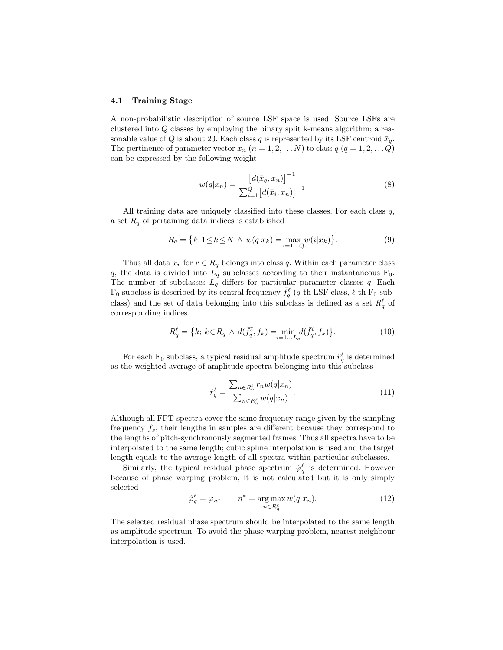#### 4.1 Training Stage

A non-probabilistic description of source LSF space is used. Source LSFs are clustered into Q classes by employing the binary split k-means algorithm; a reasonable value of Q is about 20. Each class q is represented by its LSF centroid  $\bar{x}_q$ . The pertinence of parameter vector  $x_n$   $(n = 1, 2, \ldots N)$  to class  $q$   $(q = 1, 2, \ldots Q)$ can be expressed by the following weight

$$
w(q|x_n) = \frac{\left[d(\bar{x}_q, x_n)\right]^{-1}}{\sum_{i=1}^{Q} \left[d(\bar{x}_i, x_n)\right]^{-1}}
$$
\n(8)

All training data are uniquely classified into these classes. For each class  $q$ , a set  $R_q$  of pertaining data indices is established

$$
R_q = \{k; 1 \le k \le N \land w(q|x_k) = \max_{i=1...Q} w(i|x_k)\}.
$$
 (9)

Thus all data  $x_r$  for  $r \in R_q$  belongs into class q. Within each parameter class q, the data is divided into  $L_q$  subclasses according to their instantaneous  $F_0$ . The number of subclasses  $L_q$  differs for particular parameter classes q. Each  $F_0$  subclass is described by its central frequency  $\bar{f}_q^{\ell}$  (q-th LSF class,  $\ell$ -th  $\bar{F}_0$  subclass) and the set of data belonging into this subclass is defined as a set  $R^{\ell}_{q}$  of corresponding indices

$$
R_q^{\ell} = \{k; \, k \in R_q \, \land \, d(\bar{f}_q^{\ell}, f_k) = \min_{i=1...L_q} d(\bar{f}_q^i, f_k)\}.
$$
 (10)

For each  $F_0$  subclass, a typical residual amplitude spectrum  $\hat{r}_q^{\ell}$  is determined as the weighted average of amplitude spectra belonging into this subclass

$$
\hat{r}_q^\ell = \frac{\sum_{n \in R_q^\ell} r_n w(q|x_n)}{\sum_{n \in R_q^\ell} w(q|x_n)}.
$$
\n(11)

Although all FFT-spectra cover the same frequency range given by the sampling frequency  $f_s$ , their lengths in samples are different because they correspond to the lengths of pitch-synchronously segmented frames. Thus all spectra have to be interpolated to the same length; cubic spline interpolation is used and the target length equals to the average length of all spectra within particular subclasses.

Similarly, the typical residual phase spectrum  $\hat{\varphi}_q^{\ell}$  is determined. However because of phase warping problem, it is not calculated but it is only simply selected

$$
\hat{\varphi}_q^{\ell} = \varphi_{n^*} \qquad n^* = \underset{n \in R_q^{\ell}}{\arg \max} w(q|x_n). \tag{12}
$$

The selected residual phase spectrum should be interpolated to the same length as amplitude spectrum. To avoid the phase warping problem, nearest neighbour interpolation is used.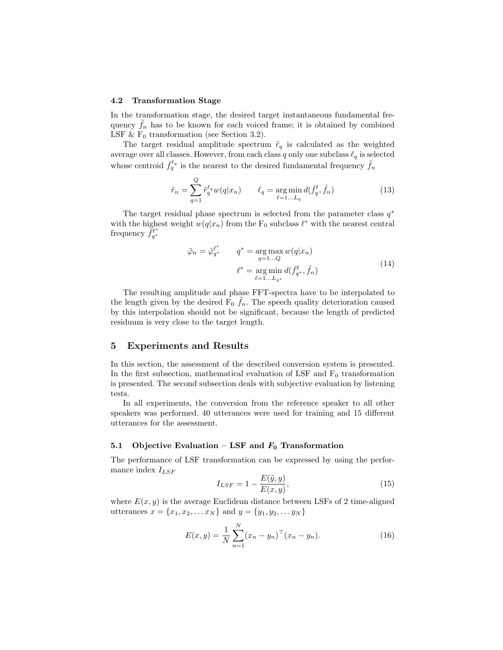#### 4.2 Transformation Stage

In the transformation stage, the desired target instantaneous fundamental frequency  $f_n$  has to be known for each voiced frame; it is obtained by combined LSF &  $F_0$  transformation (see Section 3.2).

The target residual amplitude spectrum  $\tilde{r}_q$  is calculated as the weighted average over all classes. However, from each class  $q$  only one subclass  $\ell_q$  is selected whose centroid  $\bar{f}_q^{\ell_q}$  is the nearest to the desired fundamental frequency  $\tilde{f}_n$ 

$$
\tilde{r}_n = \sum_{q=1}^Q \hat{r}_q^{\ell_q} w(q|x_n) \qquad \ell_q = \underset{\ell=1...L_q}{\arg \min} d(\bar{f}_q^{\ell}, \tilde{f}_n) \tag{13}
$$

The target residual phase spectrum is selected from the parameter class  $q^*$ with the highest weight  $w(q|x_n)$  from the  $F_0$  subclass  $\ell^*$  with the nearest central frequency  $\overline{\tilde{f}}_{q^*}^{\ell^*}$ 

$$
\tilde{\varphi}_n = \hat{\varphi}_{q^*}^{\ell^*} \qquad q^* = \operatorname*{arg\,max}_{q=1...Q} w(q|x_n)
$$

$$
\ell^* = \operatorname*{arg\,min}_{\ell=1...L_{q^*}} d(\bar{f}_{q^*}^{\ell}, \tilde{f}_n)
$$
(14)

The resulting amplitude and phase FFT-spectra have to be interpolated to the length given by the desired  $\overline{F}_0$   $\tilde{f}_n$ . The speech quality deterioration caused by this interpolation should not be significant, because the length of predicted residuum is very close to the target length.

### 5 Experiments and Results

In this section, the assessment of the described conversion system is presented. In the first subsection, mathematical evaluation of LSF and  $F_0$  transformation is presented. The second subsection deals with subjective evaluation by listening tests.

In all experiments, the conversion from the reference speaker to all other speakers was performed. 40 utterances were used for training and 15 different utterances for the assessment.

#### 5.1 Objective Evaluation – LSF and  $F_0$  Transformation

The performance of LSF transformation can be expressed by using the performance index  $I_{LSF}$ 

$$
I_{LSF} = 1 - \frac{E(\tilde{y}, y)}{E(x, y)},\tag{15}
$$

where  $E(x, y)$  is the average Euclidean distance between LSFs of 2 time-aligned utterances  $x = \{x_1, x_2, \dots x_N\}$  and  $y = \{y_1, y_2, \dots y_N\}$ 

$$
E(x,y) = \frac{1}{N} \sum_{n=1}^{N} (x_n - y_n)^{\top} (x_n - y_n).
$$
 (16)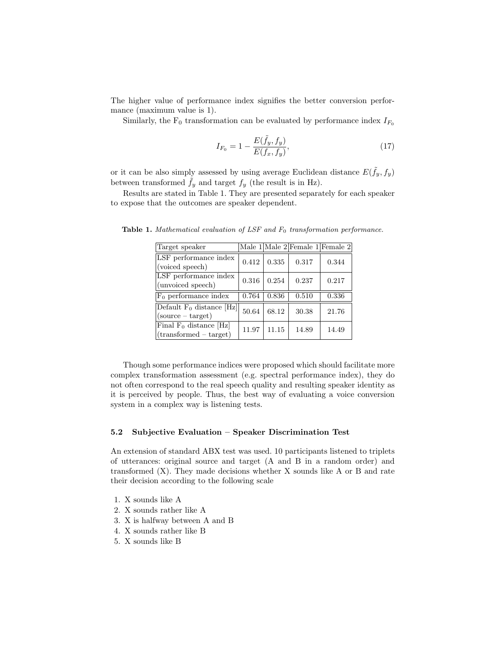The higher value of performance index signifies the better conversion performance (maximum value is 1).

Similarly, the F<sub>0</sub> transformation can be evaluated by performance index  $I_{F_0}$ 

$$
I_{F_0} = 1 - \frac{E(\tilde{f}_y, f_y)}{E(f_x, f_y)},
$$
\n(17)

or it can be also simply assessed by using average Euclidean distance  $E(\tilde{f}_y, f_y)$ between transformed  $\hat{f}_y$  and target  $f_y$  (the result is in Hz).

Results are stated in Table 1. They are presented separately for each speaker to expose that the outcomes are speaker dependent.

| Target speaker                                        |       |       | Male $1$ Male $2$ Female $1$ Female $2$ |       |
|-------------------------------------------------------|-------|-------|-----------------------------------------|-------|
| LSF performance index<br>(voiced speech)              | 0.412 | 0.335 | 0.317                                   | 0.344 |
| LSF performance index<br>(unvoiced speech)            | 0.316 | 0.254 | 0.237                                   | 0.217 |
| $F_0$ performance index                               | 0.764 | 0.836 | 0.510                                   | 0.336 |
| Default $F_0$ distance [Hz]<br>$(source - target)$    | 50.64 | 68.12 | 30.38                                   | 21.76 |
| Final $F_0$ distance [Hz]<br>$(transformed - target)$ | 11.97 | 11.15 | 14.89                                   | 14.49 |

Table 1. Mathematical evaluation of LSF and  $F_0$  transformation performance.

Though some performance indices were proposed which should facilitate more complex transformation assessment (e.g. spectral performance index), they do not often correspond to the real speech quality and resulting speaker identity as it is perceived by people. Thus, the best way of evaluating a voice conversion system in a complex way is listening tests.

#### 5.2 Subjective Evaluation – Speaker Discrimination Test

An extension of standard ABX test was used. 10 participants listened to triplets of utterances: original source and target (A and B in a random order) and transformed  $(X)$ . They made decisions whether X sounds like A or B and rate their decision according to the following scale

- 1. X sounds like A
- 2. X sounds rather like A
- 3. X is halfway between A and B
- 4. X sounds rather like B
- 5. X sounds like B